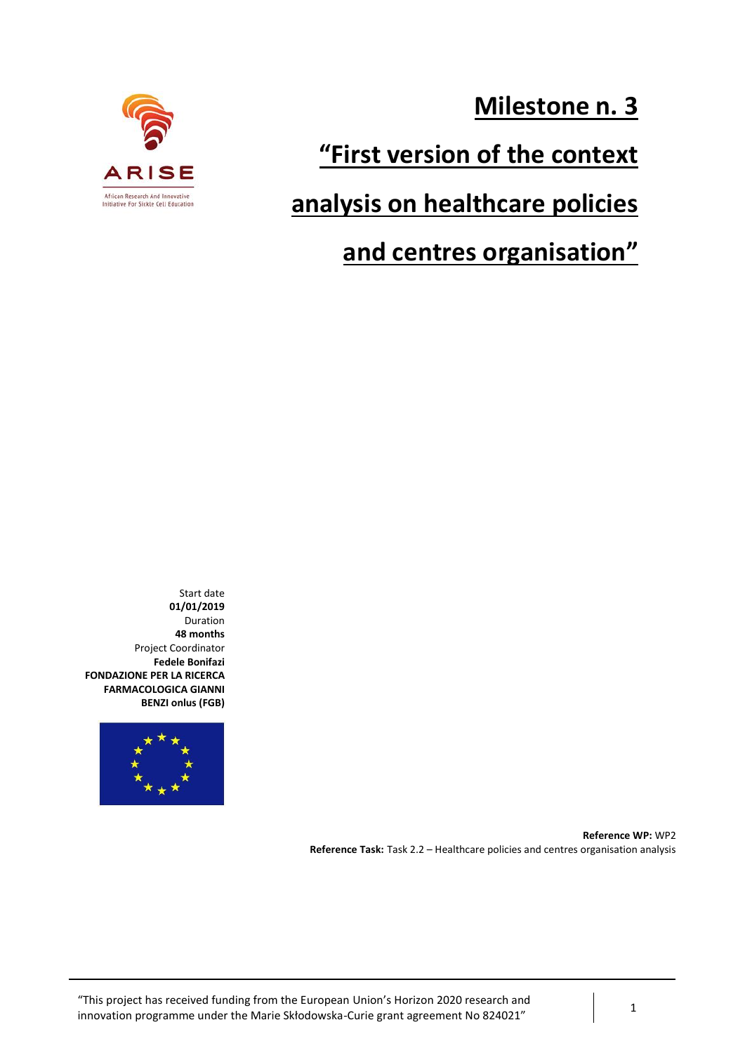

**Milestone n. 3**

# **"First version of the context**

# **analysis on healthcare policies**

# **and centres organisation"**

Start date **01/01/2019** Duration **48 months** Project Coordinator **Fedele Bonifazi FONDAZIONE PER LA RICERCA FARMACOLOGICA GIANNI BENZI onlus (FGB)**



**Reference WP:** WP2 **Reference Task:** Task 2.2 – Healthcare policies and centres organisation analysis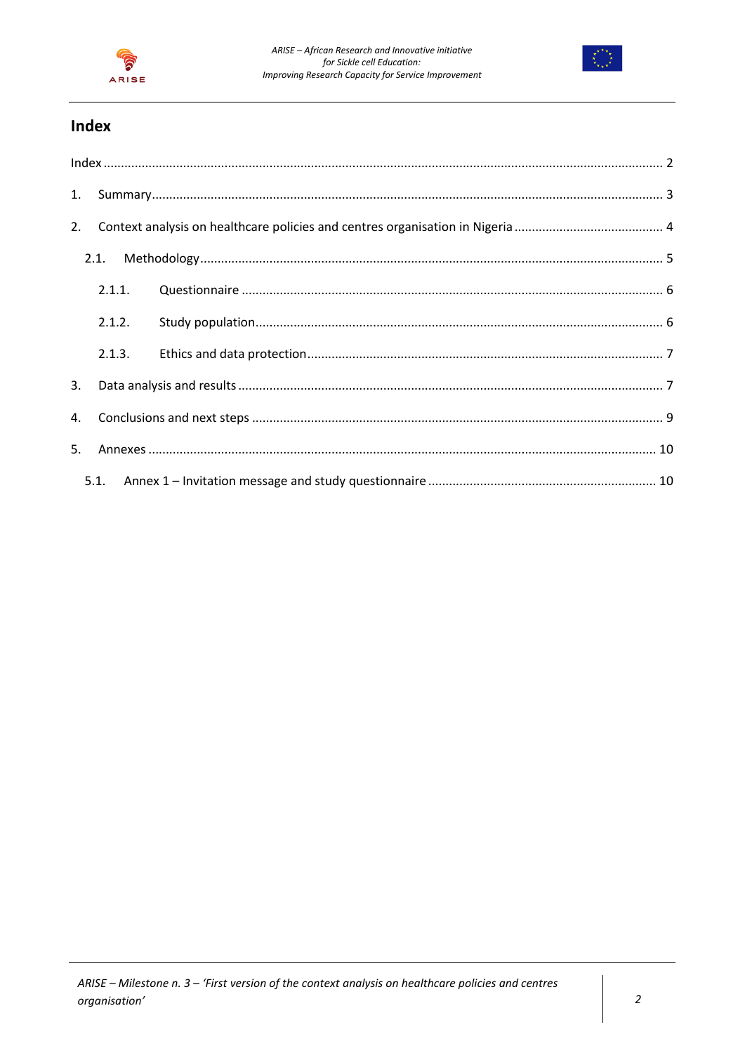



# Index

<span id="page-1-0"></span>

| 2. |        |  |
|----|--------|--|
|    | 2.1.   |  |
|    | 2.1.1. |  |
|    | 2.1.2. |  |
|    | 2.1.3. |  |
| 3. |        |  |
|    |        |  |
|    |        |  |
|    | 5.1.   |  |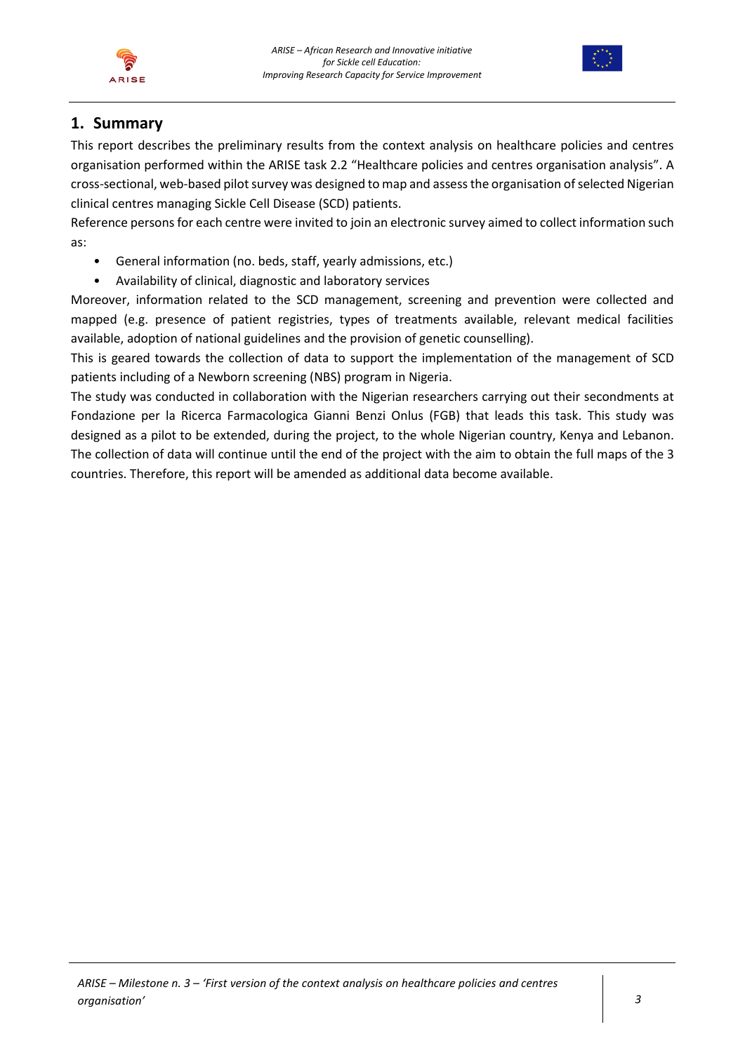



# <span id="page-2-0"></span>**1. Summary**

This report describes the preliminary results from the context analysis on healthcare policies and centres organisation performed within the ARISE task 2.2 "Healthcare policies and centres organisation analysis". A cross-sectional, web-based pilot survey was designed to map and assess the organisation of selected Nigerian clinical centres managing Sickle Cell Disease (SCD) patients.

Reference persons for each centre were invited to join an electronic survey aimed to collect information such as:

- General information (no. beds, staff, yearly admissions, etc.)
- Availability of clinical, diagnostic and laboratory services

Moreover, information related to the SCD management, screening and prevention were collected and mapped (e.g. presence of patient registries, types of treatments available, relevant medical facilities available, adoption of national guidelines and the provision of genetic counselling).

This is geared towards the collection of data to support the implementation of the management of SCD patients including of a Newborn screening (NBS) program in Nigeria.

The study was conducted in collaboration with the Nigerian researchers carrying out their secondments at Fondazione per la Ricerca Farmacologica Gianni Benzi Onlus (FGB) that leads this task. This study was designed as a pilot to be extended, during the project, to the whole Nigerian country, Kenya and Lebanon. The collection of data will continue until the end of the project with the aim to obtain the full maps of the 3 countries. Therefore, this report will be amended as additional data become available.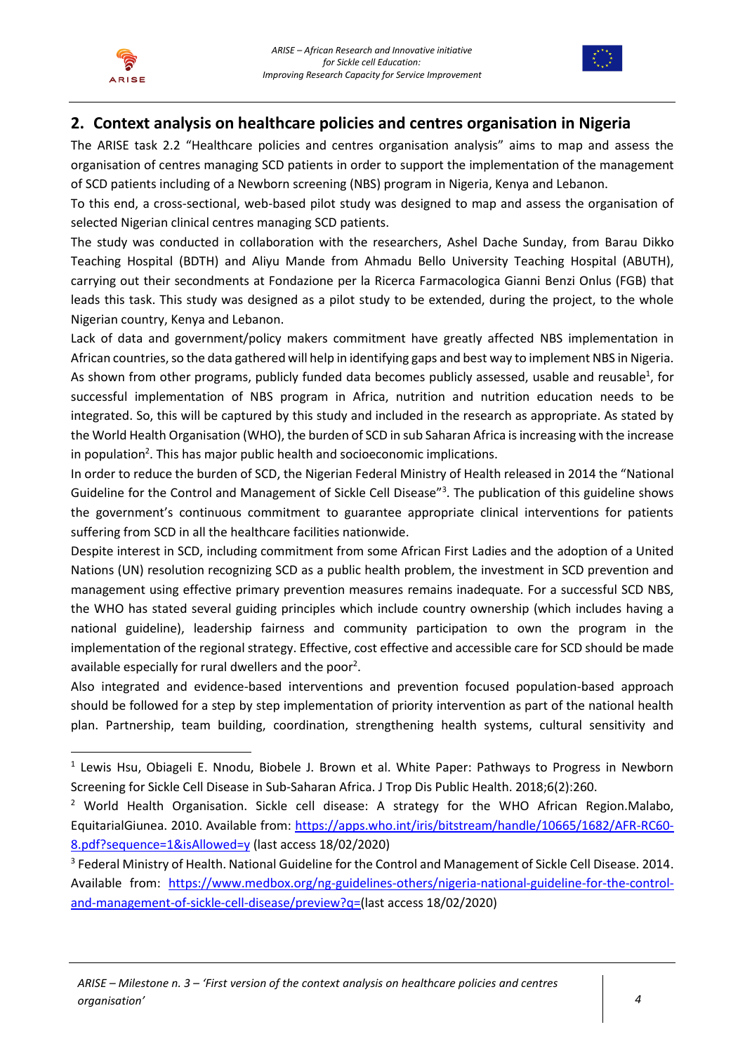



# <span id="page-3-0"></span>**2. Context analysis on healthcare policies and centres organisation in Nigeria**

The ARISE task 2.2 "Healthcare policies and centres organisation analysis" aims to map and assess the organisation of centres managing SCD patients in order to support the implementation of the management of SCD patients including of a Newborn screening (NBS) program in Nigeria, Kenya and Lebanon.

To this end, a cross-sectional, web-based pilot study was designed to map and assess the organisation of selected Nigerian clinical centres managing SCD patients.

The study was conducted in collaboration with the researchers, Ashel Dache Sunday, from Barau Dikko Teaching Hospital (BDTH) and Aliyu Mande from Ahmadu Bello University Teaching Hospital (ABUTH), carrying out their secondments at Fondazione per la Ricerca Farmacologica Gianni Benzi Onlus (FGB) that leads this task. This study was designed as a pilot study to be extended, during the project, to the whole Nigerian country, Kenya and Lebanon.

Lack of data and government/policy makers commitment have greatly affected NBS implementation in African countries, so the data gathered will help in identifying gaps and best way to implement NBS in Nigeria. As shown from other programs, publicly funded data becomes publicly assessed, usable and reusable<sup>1</sup>, for successful implementation of NBS program in Africa, nutrition and nutrition education needs to be integrated. So, this will be captured by this study and included in the research as appropriate. As stated by the World Health Organisation (WHO), the burden of SCD in sub Saharan Africa is increasing with the increase in population<sup>2</sup>. This has major public health and socioeconomic implications.

<span id="page-3-2"></span><span id="page-3-1"></span>In order to reduce the burden of SCD, the Nigerian Federal Ministry of Health released in 2014 the "National Guideline for the Control and Management of Sickle Cell Disease<sup>"3</sup>. The publication of this guideline shows the government's continuous commitment to guarantee appropriate clinical interventions for patients suffering from SCD in all the healthcare facilities nationwide.

Despite interest in SCD, including commitment from some African First Ladies and the adoption of a United Nations (UN) resolution recognizing SCD as a public health problem, the investment in SCD prevention and management using effective primary prevention measures remains inadequate. For a successful SCD NBS, the WHO has stated several guiding principles which include country ownership (which includes having a national guideline), leadership fairness and community participation to own the program in the implementation of the regional strategy. Effective, cost effective and accessible care for SCD should be made available especially fo[r](#page-3-1) rural dwellers and the poor<sup>2</sup>.

Also integrated and evidence-based interventions and prevention focused population-based approach should be followed for a step by step implementation of priority intervention as part of the national health plan. Partnership, team building, coordination, strengthening health systems, cultural sensitivity and

<sup>&</sup>lt;sup>1</sup> Lewis Hsu, Obiageli E. Nnodu, Biobele J. Brown et al. White Paper: Pathways to Progress in Newborn Screening for Sickle Cell Disease in Sub-Saharan Africa. J Trop Dis Public Health. 2018;6(2):260.

<sup>&</sup>lt;sup>2</sup> World Health Organisation. Sickle cell disease: A strategy for the WHO African Region.Malabo, EquitarialGiunea. 2010. Available from: [https://apps.who.int/iris/bitstream/handle/10665/1682/AFR-RC60-](https://apps.who.int/iris/bitstream/handle/10665/1682/AFR-RC60-8.pdf?sequence=1&isAllowed=y) [8.pdf?sequence=1&isAllowed=y](https://apps.who.int/iris/bitstream/handle/10665/1682/AFR-RC60-8.pdf?sequence=1&isAllowed=y) (last access 18/02/2020)

<sup>&</sup>lt;sup>3</sup> Federal Ministry of Health. National Guideline for the Control and Management of Sickle Cell Disease. 2014. Available from: [https://www.medbox.org/ng-guidelines-others/nigeria-national-guideline-for-the-control](https://www.medbox.org/ng-guidelines-others/nigeria-national-guideline-for-the-control-and-management-of-sickle-cell-disease/preview?q=)[and-management-of-sickle-cell-disease/preview?q=\(](https://www.medbox.org/ng-guidelines-others/nigeria-national-guideline-for-the-control-and-management-of-sickle-cell-disease/preview?q=)last access 18/02/2020)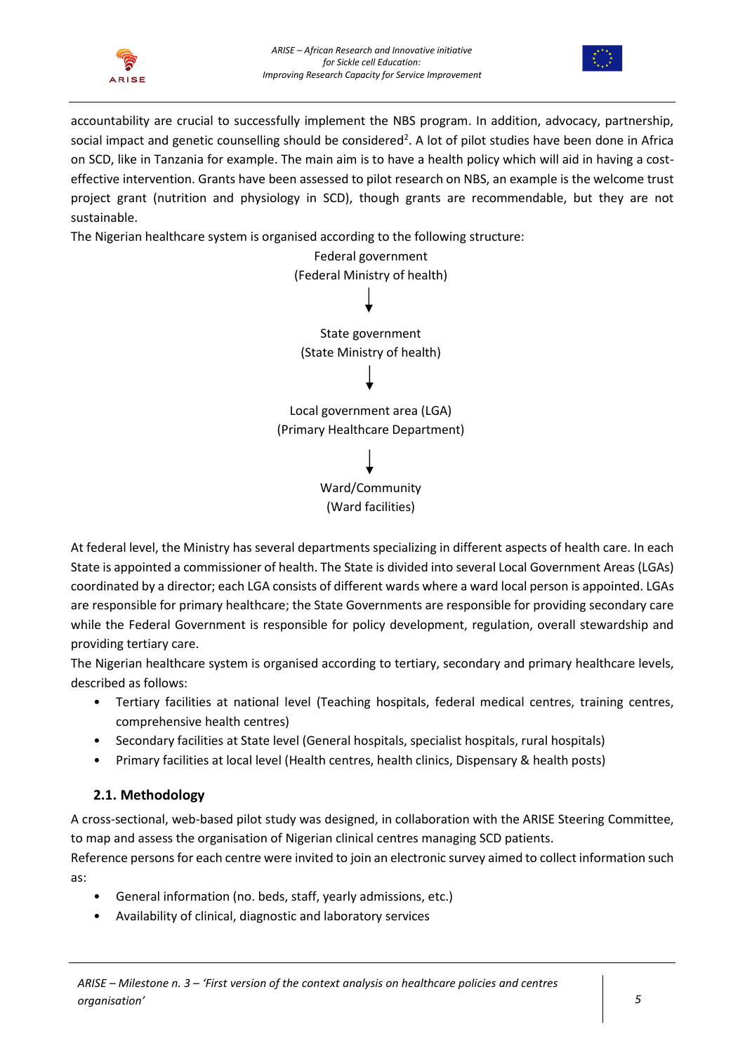



accountability are crucial to successfully implement the NBS program. In addition, advocacy, partnership, social impact and genetic counselling should be considered<sup>2</sup>[.](#page-3-1) A lot of pilot studies have been done in Africa on SCD, like in Tanzania for example. The main aim is to have a health policy which will aid in having a costeffective intervention. Grants have been assessed to pilot research on NBS, an example is the welcome trust project grant (nutrition and physiology in SCD), though grants are recommendable, but they are not sustainable.

The Nigerian healthcare system is organised according to the following structure:

| Federal government              |
|---------------------------------|
| (Federal Ministry of health)    |
|                                 |
| State government                |
| (State Ministry of health)      |
|                                 |
| Local government area (LGA)     |
| (Primary Healthcare Department) |
|                                 |
| Ward/Community                  |
| (Ward facilities)               |
|                                 |

At federal level, the Ministry has several departments specializing in different aspects of health care. In each State is appointed a commissioner of health. The State is divided into several Local Government Areas (LGAs) coordinated by a director; each LGA consists of different wards where a ward local person is appointed. LGAs are responsible for primary healthcare; the State Governments are responsible for providing secondary care while the Federal Government is responsible for policy development, regulation, overall stewardship and providing tertiary care.

The Nigerian healthcare system is organised according to tertiary, secondary and primary healthcare levels, described as follows:

- Tertiary facilities at national level (Teaching hospitals, federal medical centres, training centres, comprehensive health centres)
- Secondary facilities at State level (General hospitals, specialist hospitals, rural hospitals)
- Primary facilities at local level (Health centres, health clinics, Dispensary & health posts)

# <span id="page-4-0"></span>**2.1. Methodology**

A cross-sectional, web-based pilot study was designed, in collaboration with the ARISE Steering Committee, to map and assess the organisation of Nigerian clinical centres managing SCD patients.

Reference persons for each centre were invited to join an electronic survey aimed to collect information such as:

- General information (no. beds, staff, yearly admissions, etc.)
- Availability of clinical, diagnostic and laboratory services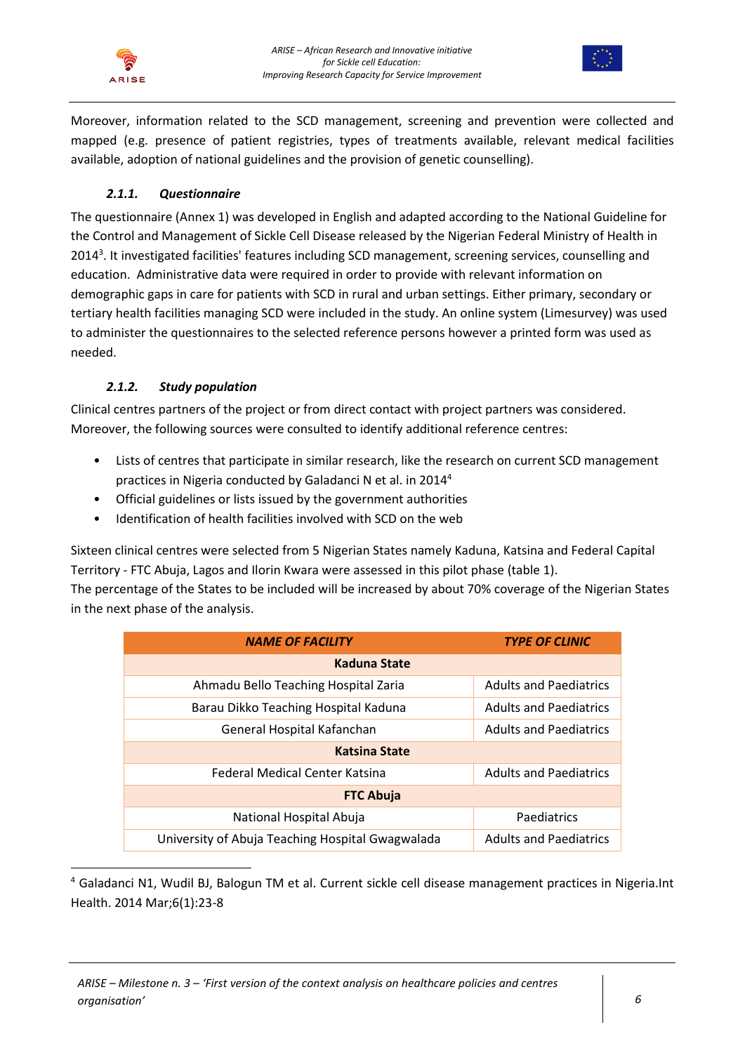



Moreover, information related to the SCD management, screening and prevention were collected and mapped (e.g. presence of patient registries, types of treatments available, relevant medical facilities available, adoption of national guidelines and the provision of genetic counselling).

## *2.1.1. Questionnaire*

<span id="page-5-0"></span>The questionnaire (Annex 1) was developed in English and adapted according to the National Guideline for the Control and Management of Sickle Cell Disease released by the Nigerian Federal Ministry of Health in 2014<sup>3</sup>[.](#page-3-2) It investigated facilities' features including SCD management, screening services, counselling and education. Administrative data were required in order to provide with relevant information on demographic gaps in care for patients with SCD in rural and urban settings. Either primary, secondary or tertiary health facilities managing SCD were included in the study. An online system (Limesurvey) was used to administer the questionnaires to the selected reference persons however a printed form was used as needed.

## *2.1.2. Study population*

<span id="page-5-1"></span>Clinical centres partners of the project or from direct contact with project partners was considered. Moreover, the following sources were consulted to identify additional reference centres:

- Lists of centres that participate in similar research, like the research on current SCD management practices in Nigeria conducted by Galadanci N et al. in 2014<sup>4</sup>
- Official guidelines or lists issued by the government authorities
- Identification of health facilities involved with SCD on the web

Sixteen clinical centres were selected from 5 Nigerian States namely Kaduna, Katsina and Federal Capital Territory - FTC Abuja, Lagos and Ilorin Kwara were assessed in this pilot phase (table 1).

The percentage of the States to be included will be increased by about 70% coverage of the Nigerian States in the next phase of the analysis.

| <b>NAME OF FACILITY</b>                          | <b>TYPE OF CLINIC</b>         |  |  |  |  |
|--------------------------------------------------|-------------------------------|--|--|--|--|
| Kaduna State                                     |                               |  |  |  |  |
| Ahmadu Bello Teaching Hospital Zaria             | <b>Adults and Paediatrics</b> |  |  |  |  |
| Barau Dikko Teaching Hospital Kaduna             | <b>Adults and Paediatrics</b> |  |  |  |  |
| General Hospital Kafanchan                       | <b>Adults and Paediatrics</b> |  |  |  |  |
| <b>Katsina State</b>                             |                               |  |  |  |  |
| Federal Medical Center Katsina                   | <b>Adults and Paediatrics</b> |  |  |  |  |
| <b>FTC Abuja</b>                                 |                               |  |  |  |  |
| National Hospital Abuja                          | Paediatrics                   |  |  |  |  |
| University of Abuja Teaching Hospital Gwagwalada | <b>Adults and Paediatrics</b> |  |  |  |  |

<sup>4</sup> Galadanci N1, Wudil BJ, Balogun TM et al. Current sickle cell disease management practices in Nigeria.Int Health. 2014 Mar;6(1):23-8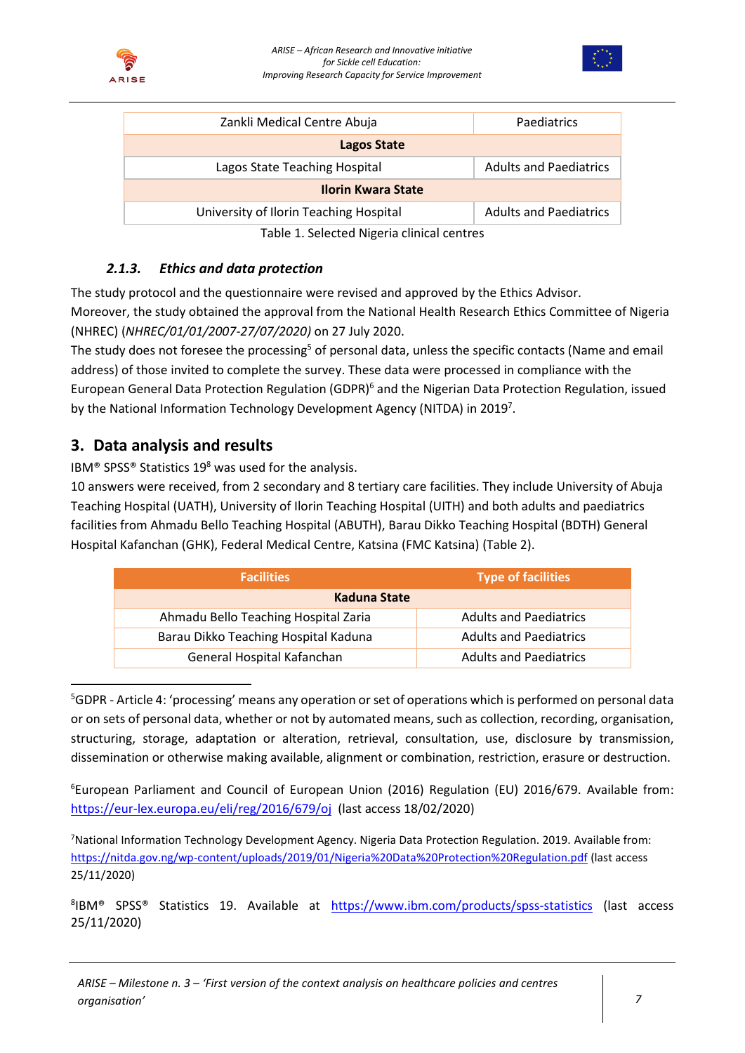



| Zankli Medical Centre Abuja                 | Paediatrics                   |  |  |  |  |
|---------------------------------------------|-------------------------------|--|--|--|--|
| Lagos State                                 |                               |  |  |  |  |
| Lagos State Teaching Hospital               | <b>Adults and Paediatrics</b> |  |  |  |  |
| <b>Ilorin Kwara State</b>                   |                               |  |  |  |  |
| University of Ilorin Teaching Hospital      | <b>Adults and Paediatrics</b> |  |  |  |  |
| 국사 나라 사람이 주시라고 나서 나라 나라 사람이 아니라 아이가 나라 아니다. |                               |  |  |  |  |

Table 1. Selected Nigeria clinical centres

# *2.1.3. Ethics and data protection*

<span id="page-6-0"></span>The study protocol and the questionnaire were revised and approved by the Ethics Advisor. Moreover, the study obtained the approval from the National Health Research Ethics Committee of Nigeria (NHREC) (*NHREC/01/01/2007-27/07/2020)* on 27 July 2020.

The study does not foresee the processing<sup>5</sup> of personal data, unless the specific contacts (Name and email address) of those invited to complete the survey. These data were processed in compliance with the European General Data Protection Regulation (GDPR)<sup>6</sup> and the Nigerian Data Protection Regulation, issued by the National Information Technology Development Agency (NITDA) in 20197.

# <span id="page-6-1"></span>**3. Data analysis and results**

IBM<sup>®</sup> SPSS<sup>®</sup> Statistics 19<sup>8</sup> was used for the analysis.

10 answers were received, from 2 secondary and 8 tertiary care facilities. They include University of Abuja Teaching Hospital (UATH), University of Ilorin Teaching Hospital (UITH) and both adults and paediatrics facilities from Ahmadu Bello Teaching Hospital (ABUTH), Barau Dikko Teaching Hospital (BDTH) General Hospital Kafanchan (GHK), Federal Medical Centre, Katsina (FMC Katsina) (Table 2).

| <b>Facilities</b>                    | Type of facilities            |  |
|--------------------------------------|-------------------------------|--|
| Kaduna State                         |                               |  |
| Ahmadu Bello Teaching Hospital Zaria | <b>Adults and Paediatrics</b> |  |
| Barau Dikko Teaching Hospital Kaduna | <b>Adults and Paediatrics</b> |  |
| General Hospital Kafanchan           | <b>Adults and Paediatrics</b> |  |

<sup>5</sup>GDPR - Article 4: 'processing' means any operation or set of operations which is performed on personal data or on sets of personal data, whether or not by automated means, such as collection, recording, organisation, structuring, storage, adaptation or alteration, retrieval, consultation, use, disclosure by transmission, dissemination or otherwise making available, alignment or combination, restriction, erasure or destruction.

<sup>6</sup>European Parliament and Council of European Union (2016) Regulation (EU) 2016/679. Available from: <https://eur-lex.europa.eu/eli/reg/2016/679/oj> (last access 18/02/2020)

<sup>7</sup>National Information Technology Development Agency. Nigeria Data Protection Regulation. 2019. Available from: <https://nitda.gov.ng/wp-content/uploads/2019/01/Nigeria%20Data%20Protection%20Regulation.pdf> (last access 25/11/2020)

8 IBM® SPSS® Statistics 19. Available at <https://www.ibm.com/products/spss-statistics> (last access 25/11/2020)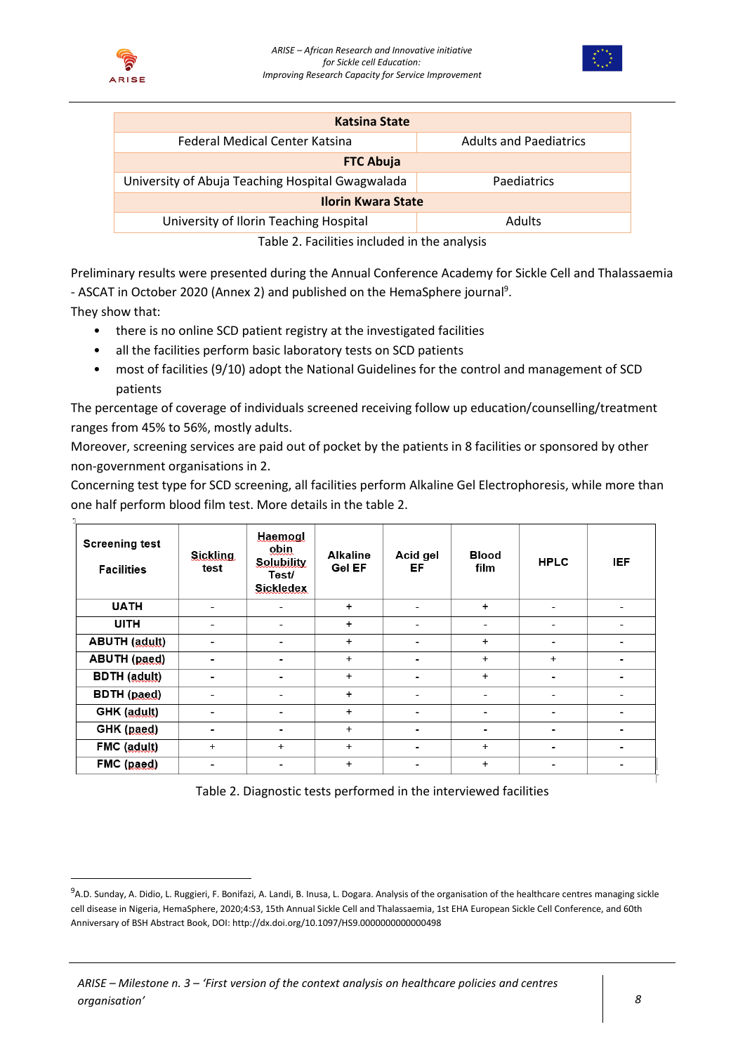



| <b>Katsina State</b>                                    |                               |  |  |  |  |  |
|---------------------------------------------------------|-------------------------------|--|--|--|--|--|
| Federal Medical Center Katsina                          | <b>Adults and Paediatrics</b> |  |  |  |  |  |
| <b>FTC Abuja</b>                                        |                               |  |  |  |  |  |
| University of Abuja Teaching Hospital Gwagwalada        | Paediatrics                   |  |  |  |  |  |
| <b>Ilorin Kwara State</b>                               |                               |  |  |  |  |  |
| University of Ilorin Teaching Hospital<br><b>Adults</b> |                               |  |  |  |  |  |
| 元 こしまい ハーロー こうせいきょう きょうよう はいしょう いまい しょうしょうかい            |                               |  |  |  |  |  |

Table 2. Facilities included in the analysis

Preliminary results were presented during the Annual Conference Academy for Sickle Cell and Thalassaemia - ASCAT in October 2020 (Annex 2) and published on the HemaSphere journal<sup>9</sup>.

They show that:

- there is no online SCD patient registry at the investigated facilities
- all the facilities perform basic laboratory tests on SCD patients
- most of facilities (9/10) adopt the National Guidelines for the control and management of SCD patients

The percentage of coverage of individuals screened receiving follow up education/counselling/treatment ranges from 45% to 56%, mostly adults.

Moreover, screening services are paid out of pocket by the patients in 8 facilities or sponsored by other non-government organisations in 2.

Concerning test type for SCD screening, all facilities perform Alkaline Gel Electrophoresis, while more than one half perform blood film test. More details in the table 2.

| <b>Screening test</b><br><b>Facilities</b> | <b>Sickling</b><br>test  | Haemogl<br>obin<br><b>Solubility</b><br>Test/<br><b>Sickledex</b> | <b>Alkaline</b><br><b>Gel EF</b> | Acid gel<br>EF.          | <b>Blood</b><br>film     | <b>HPLC</b>              | <b>IEF</b>               |
|--------------------------------------------|--------------------------|-------------------------------------------------------------------|----------------------------------|--------------------------|--------------------------|--------------------------|--------------------------|
| <b>UATH</b>                                | -                        | ۰                                                                 | $+$                              | ٠                        | $+$                      | -                        | -                        |
| <b>UITH</b>                                | -                        | ۰                                                                 | $\ddot{}$                        | -                        | ٠                        | ٠                        | ۰                        |
| <b>ABUTH</b> (adult)                       | $\overline{\phantom{0}}$ | ٠                                                                 | $+$                              | ۰                        | $+$                      | $\overline{\phantom{a}}$ | ۰                        |
| <b>ABUTH</b> (paed)                        | $\overline{\phantom{0}}$ | ۰                                                                 | $+$                              | $\overline{\phantom{0}}$ | $+$                      | $+$                      | ۰                        |
| <b>BDTH</b> (adult)                        | $\overline{\phantom{0}}$ | -                                                                 | $\ddot{}$                        | $\overline{\phantom{0}}$ | $+$                      | $\overline{\phantom{0}}$ | $\overline{\phantom{0}}$ |
| BDTH (paed)                                | -                        | $\qquad \qquad \blacksquare$                                      | $+$                              |                          | $\overline{\phantom{a}}$ | $\overline{\phantom{0}}$ |                          |
| GHK (adult)                                | -                        | ٠                                                                 | $+$                              | ۰                        | -                        | $\overline{\phantom{0}}$ | -                        |
| GHK (paed)                                 | -                        | ٠                                                                 | $+$                              |                          | ۰                        | $\overline{\phantom{0}}$ | -                        |
| FMC (adult)                                | $\ddot{}$                | $\ddot{}$                                                         | $\ddot{}$                        | ۰                        | $\ddot{}$                | $\overline{\phantom{0}}$ | ۰                        |
| FMC (paed)                                 | $\overline{\phantom{0}}$ | ٠                                                                 | $\ddot{}$                        |                          | $\ddot{}$                | -                        | -                        |

Table 2. Diagnostic tests performed in the interviewed facilities

<sup>&</sup>lt;sup>9</sup>A.D. Sunday, A. Didio, L. Ruggieri, F. Bonifazi, A. Landi, B. Inusa, L. Dogara. Analysis of the organisation of the healthcare centres managing sickle cell disease in Nigeria, HemaSphere, 2020;4:S3, 15th Annual Sickle Cell and Thalassaemia, 1st EHA European Sickle Cell Conference, and 60th Anniversary of BSH Abstract Book, DOI: http://dx.doi.org/10.1097/HS9.0000000000000498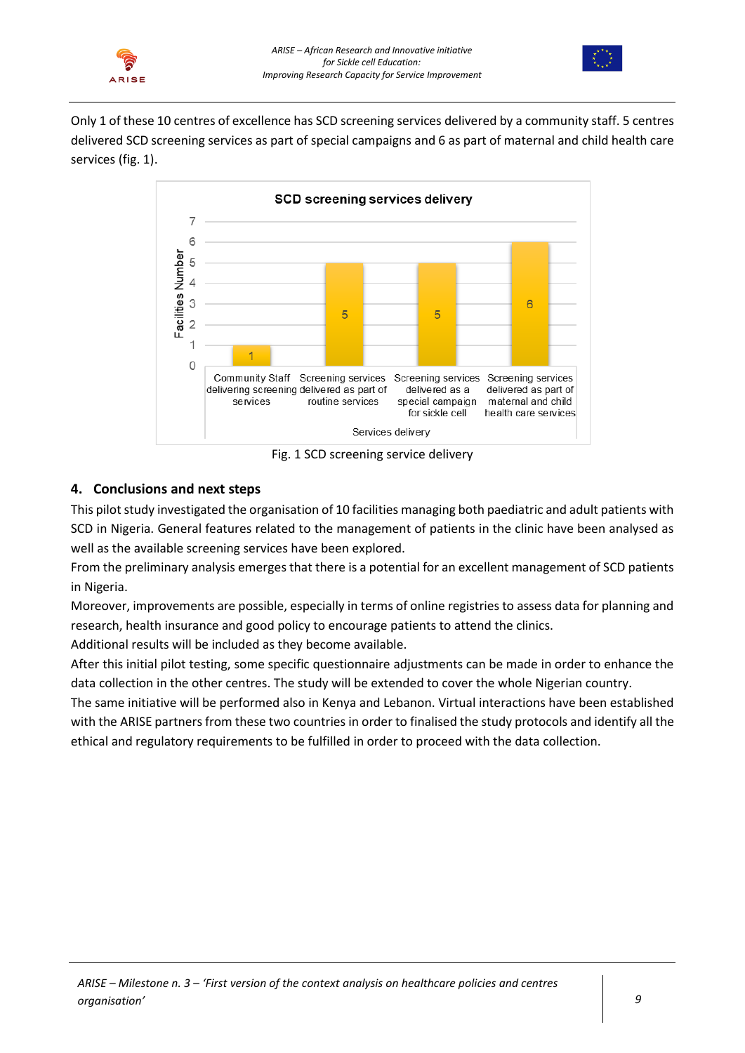



Only 1 of these 10 centres of excellence has SCD screening services delivered by a community staff. 5 centres delivered SCD screening services as part of special campaigns and 6 as part of maternal and child health care services (fig. 1).



Fig. 1 SCD screening service delivery

## <span id="page-8-0"></span>**4. Conclusions and next steps**

This pilot study investigated the organisation of 10 facilities managing both paediatric and adult patients with SCD in Nigeria. General features related to the management of patients in the clinic have been analysed as well as the available screening services have been explored.

From the preliminary analysis emerges that there is a potential for an excellent management of SCD patients in Nigeria.

Moreover, improvements are possible, especially in terms of online registries to assess data for planning and research, health insurance and good policy to encourage patients to attend the clinics.

Additional results will be included as they become available.

After this initial pilot testing, some specific questionnaire adjustments can be made in order to enhance the data collection in the other centres. The study will be extended to cover the whole Nigerian country.

The same initiative will be performed also in Kenya and Lebanon. Virtual interactions have been established with the ARISE partners from these two countries in order to finalised the study protocols and identify all the ethical and regulatory requirements to be fulfilled in order to proceed with the data collection.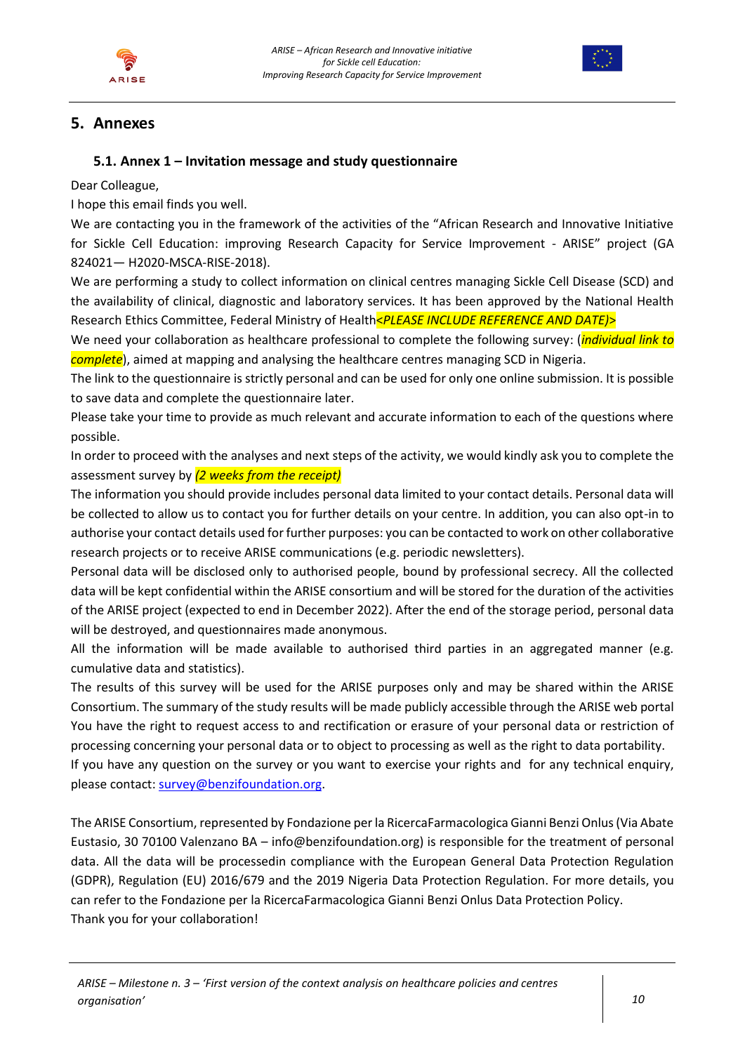



# <span id="page-9-0"></span>**5. Annexes**

## <span id="page-9-1"></span>**5.1. Annex 1 – Invitation message and study questionnaire**

Dear Colleague,

I hope this email finds you well.

We are contacting you in the framework of the activities of the "African Research and Innovative Initiative for Sickle Cell Education: improving Research Capacity for Service Improvement - ARISE" project (GA 824021— H2020-MSCA-RISE-2018).

We are performing a study to collect information on clinical centres managing Sickle Cell Disease (SCD) and the availability of clinical, diagnostic and laboratory services. It has been approved by the National Health Research Ethics Committee, Federal Ministry of Health<*PLEASE INCLUDE REFERENCE AND DATE)*>

We need your collaboration as healthcare professional to complete the following survey: (*individual link to complete*), aimed at mapping and analysing the healthcare centres managing SCD in Nigeria.

The link to the questionnaire is strictly personal and can be used for only one online submission. It is possible to save data and complete the questionnaire later.

Please take your time to provide as much relevant and accurate information to each of the questions where possible.

In order to proceed with the analyses and next steps of the activity, we would kindly ask you to complete the assessment survey by *(2 weeks from the receipt)*

The information you should provide includes personal data limited to your contact details. Personal data will be collected to allow us to contact you for further details on your centre. In addition, you can also opt-in to authorise your contact details used for further purposes: you can be contacted to work on other collaborative research projects or to receive ARISE communications (e.g. periodic newsletters).

Personal data will be disclosed only to authorised people, bound by professional secrecy. All the collected data will be kept confidential within the ARISE consortium and will be stored for the duration of the activities of the ARISE project (expected to end in December 2022). After the end of the storage period, personal data will be destroyed, and questionnaires made anonymous.

All the information will be made available to authorised third parties in an aggregated manner (e.g. cumulative data and statistics).

The results of this survey will be used for the ARISE purposes only and may be shared within the ARISE Consortium. The summary of the study results will be made publicly accessible through the ARISE web portal You have the right to request access to and rectification or erasure of your personal data or restriction of processing concerning your personal data or to object to processing as well as the right to data portability.

If you have any question on the survey or you want to exercise your rights and for any technical enquiry, please contact: [survey@benzifoundation.org.](mailto:survey@benzifoundation.org)

The ARISE Consortium, represented by Fondazione per la RicercaFarmacologica Gianni Benzi Onlus (Via Abate Eustasio, 30 70100 Valenzano BA – info@benzifoundation.org) is responsible for the treatment of personal data. All the data will be processedin compliance with the European General Data Protection Regulation (GDPR), Regulation (EU) 2016/679 and the 2019 Nigeria Data Protection Regulation. For more details, you can refer to the Fondazione per la RicercaFarmacologica Gianni Benzi Onlus Data Protection Policy. Thank you for your collaboration!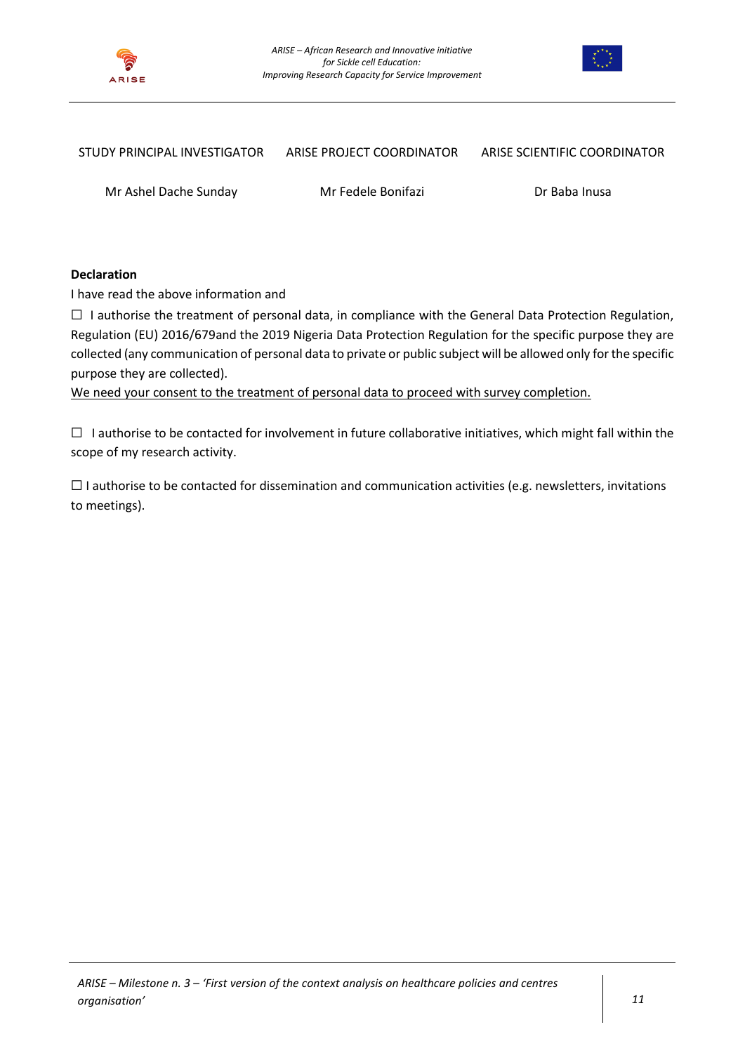



#### STUDY PRINCIPAL INVESTIGATOR ARISE PROJECT COORDINATOR ARISE SCIENTIFIC COORDINATOR

Mr Ashel Dache Sunday Mr Fedele Bonifazi Dr Baba Inusa

#### **Declaration**

I have read the above information and

 $\Box$  I authorise the treatment of personal data, in compliance with the General Data Protection Regulation, Regulation (EU) 2016/679and the 2019 Nigeria Data Protection Regulation for the specific purpose they are collected (any communication of personal data to private or public subject will be allowed only for the specific purpose they are collected).

We need your consent to the treatment of personal data to proceed with survey completion.

☐ I authorise to be contacted for involvement in future collaborative initiatives, which might fall within the scope of my research activity.

 $\Box$  I authorise to be contacted for dissemination and communication activities (e.g. newsletters, invitations to meetings).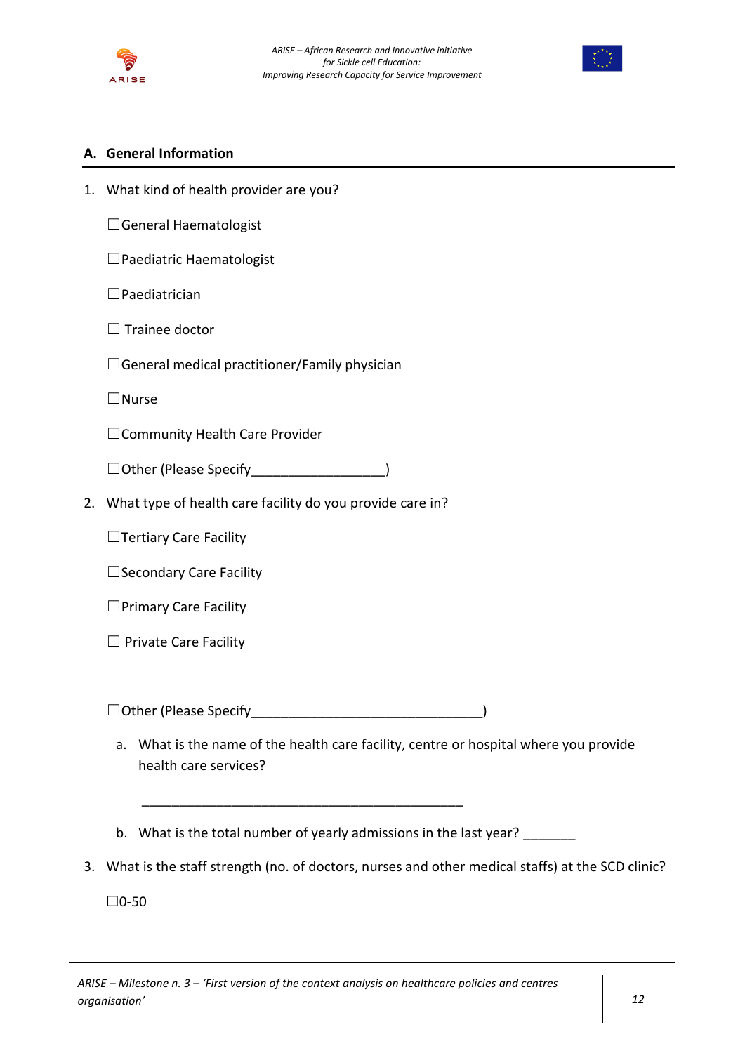



## **A. General Information**

1. What kind of health provider are you?

☐General Haematologist

☐Paediatric Haematologist

☐Paediatrician

 $\Box$  Trainee doctor

 $\Box$ General medical practitioner/Family physician

☐Nurse

☐Community Health Care Provider

☐Other (Please Specify\_\_\_\_\_\_\_\_\_\_\_\_\_\_\_\_\_\_)

2. What type of health care facility do you provide care in?

□Tertiary Care Facility

☐Secondary Care Facility

☐Primary Care Facility

□ Private Care Facility

☐Other (Please Specify\_\_\_\_\_\_\_\_\_\_\_\_\_\_\_\_\_\_\_\_\_\_\_\_\_\_\_\_\_\_\_)

\_\_\_\_\_\_\_\_\_\_\_\_\_\_\_\_\_\_\_\_\_\_\_\_\_\_\_\_\_\_\_\_\_\_\_\_\_\_\_\_\_\_\_

- a. What is the name of the health care facility, centre or hospital where you provide health care services?
- b. What is the total number of yearly admissions in the last year?
- 3. What is the staff strength (no. of doctors, nurses and other medical staffs) at the SCD clinic?

☐0-50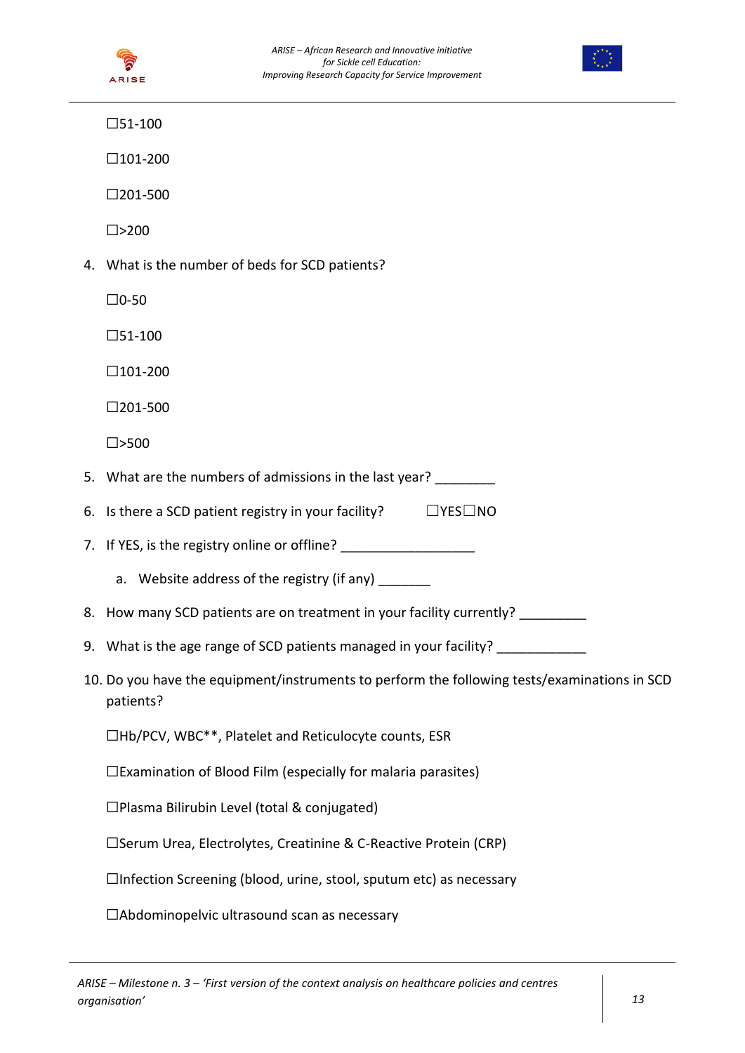



 $\square$ 51-100

☐101-200

☐201-500

 $\square$ >200

4. What is the number of beds for SCD patients?

☐0-50

☐51-100

 $\square$ 101-200

☐201-500

☐>500

- 5. What are the numbers of admissions in the last year? \_\_\_\_\_\_\_\_
- 6. Is there a SCD patient registry in your facility?  $□$  YES $□$ NO
- 7. If YES, is the registry online or offline?
	- a. Website address of the registry (if any) \_\_\_\_\_\_
- 8. How many SCD patients are on treatment in your facility currently?
- 9. What is the age range of SCD patients managed in your facility? \_\_\_\_\_\_\_\_\_\_\_\_\_
- 10. Do you have the equipment/instruments to perform the following tests/examinations in SCD patients?

☐Hb/PCV, WBC\*\*, Platelet and Reticulocyte counts, ESR

☐Examination of Blood Film (especially for malaria parasites)

☐Plasma Bilirubin Level (total & conjugated)

☐Serum Urea, Electrolytes, Creatinine & C-Reactive Protein (CRP)

☐Infection Screening (blood, urine, stool, sputum etc) as necessary

☐Abdominopelvic ultrasound scan as necessary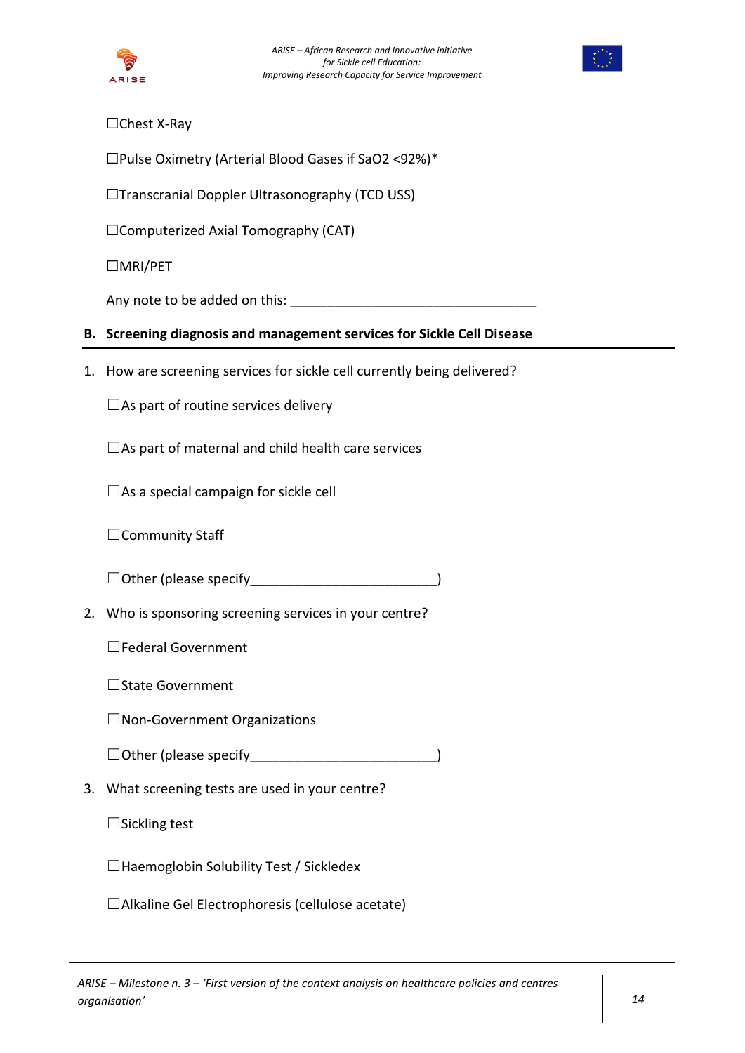



# ☐Chest X-Ray

☐Pulse Oximetry (Arterial Blood Gases if SaO2 <92%)\*

☐Transcranial Doppler Ultrasonography (TCD USS)

☐Computerized Axial Tomography (CAT)

☐MRI/PET

Any note to be added on this: \_\_\_\_\_\_\_\_\_\_\_\_\_\_\_\_\_\_\_\_\_\_\_\_\_\_\_\_\_\_\_\_\_

## **B. Screening diagnosis and management services for Sickle Cell Disease**

1. How are screening services for sickle cell currently being delivered?

 $\Box$ As part of routine services delivery

 $\Box$ As part of maternal and child health care services

 $\square$ As a special campaign for sickle cell

□Community Staff

□ Other (please specify\_\_\_\_\_\_\_\_\_\_\_\_\_\_\_\_\_\_\_\_\_\_\_\_\_\_\_\_\_\_\_)

2. Who is sponsoring screening services in your centre?

☐Federal Government

☐State Government

☐Non-Government Organizations

☐Other (please specify\_\_\_\_\_\_\_\_\_\_\_\_\_\_\_\_\_\_\_\_\_\_\_\_\_)

3. What screening tests are used in your centre?

 $\Box$ Sickling test

☐Haemoglobin Solubility Test / Sickledex

☐Alkaline Gel Electrophoresis (cellulose acetate)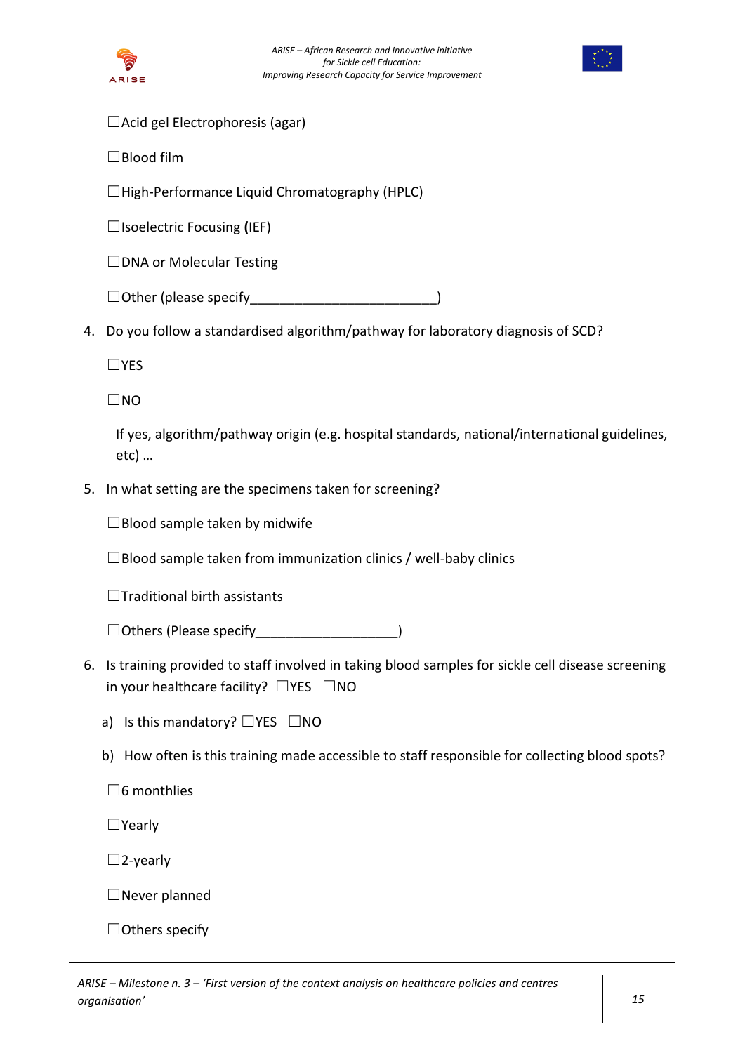



 $\Box$ Acid gel Electrophoresis (agar)

☐Blood film

☐High-Performance Liquid Chromatography (HPLC)

☐Isoelectric Focusing **(**IEF)

☐DNA or Molecular Testing

 $\Box$  Other (please specify

4. Do you follow a standardised algorithm/pathway for laboratory diagnosis of SCD?

☐YES

☐NO

If yes, algorithm/pathway origin (e.g. hospital standards, national/international guidelines, etc) …

5. In what setting are the specimens taken for screening?

 $\Box$ Blood sample taken by midwife

 $\square$ Blood sample taken from immunization clinics / well-baby clinics

☐Traditional birth assistants

☐Others (Please specify\_\_\_\_\_\_\_\_\_\_\_\_\_\_\_\_\_\_\_)

- 6. Is training provided to staff involved in taking blood samples for sickle cell disease screening in your healthcare facility?  $\square$ YES  $\square$ NO
	- a) Is this mandatory? □YES □NO
	- b) How often is this training made accessible to staff responsible for collecting blood spots?

☐6 monthlies

☐Yearly

 $\square$ 2-yearly

☐Never planned

 $\Box$  Others specify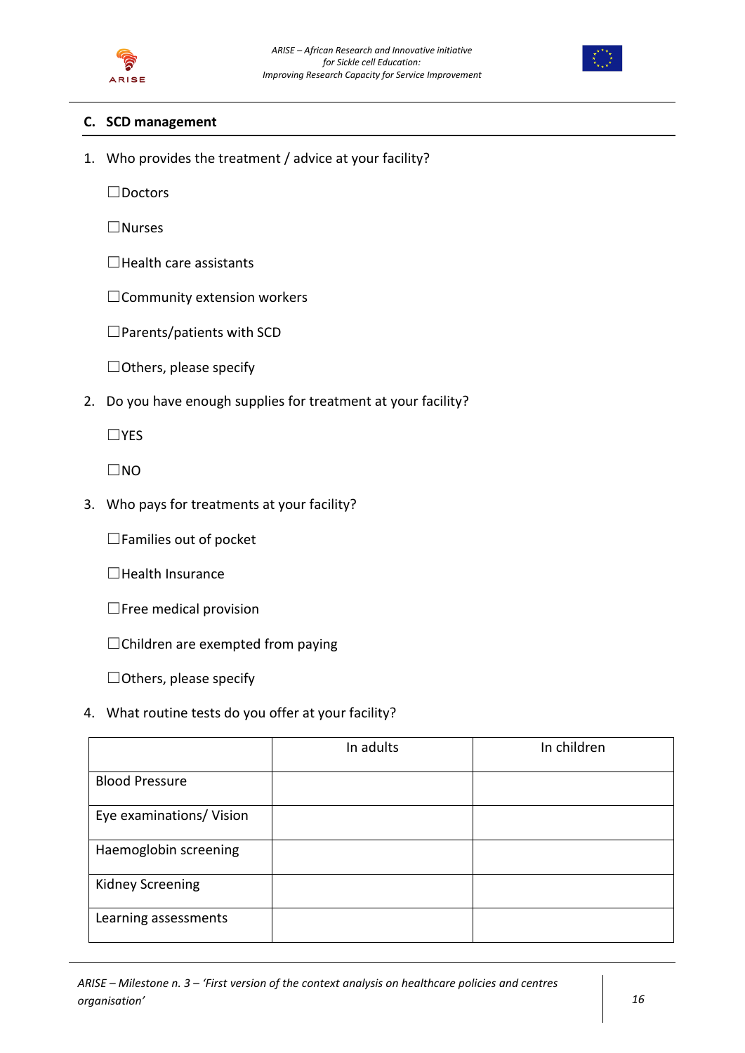



### **C. SCD management**

1. Who provides the treatment / advice at your facility?

☐Doctors

☐Nurses

☐Health care assistants

□Community extension workers

☐Parents/patients with SCD

☐Others, please specify

2. Do you have enough supplies for treatment at your facility?

☐YES

 $\square$ NO

3. Who pays for treatments at your facility?

☐Families out of pocket

☐Health Insurance

☐Free medical provision

☐Children are exempted from paying

☐Others, please specify

4. What routine tests do you offer at your facility?

|                          | In adults | In children |
|--------------------------|-----------|-------------|
| <b>Blood Pressure</b>    |           |             |
| Eye examinations/ Vision |           |             |
| Haemoglobin screening    |           |             |
| <b>Kidney Screening</b>  |           |             |
| Learning assessments     |           |             |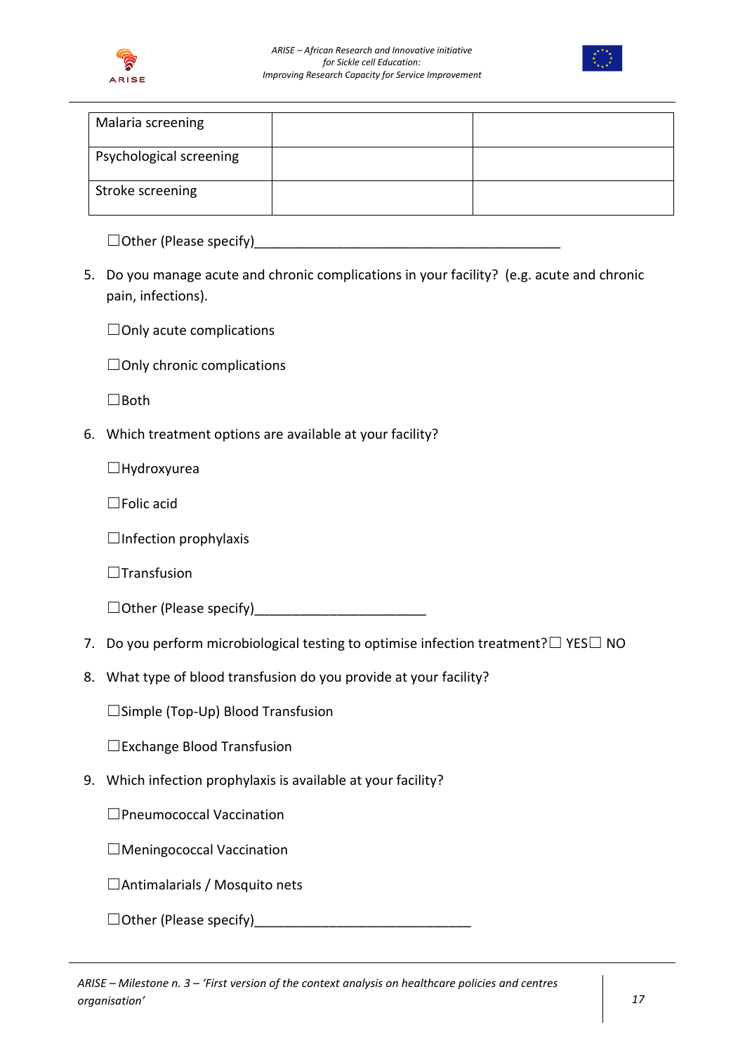



| Malaria screening       |  |
|-------------------------|--|
| Psychological screening |  |
| Stroke screening        |  |

 $\Box$  Other (Please specify)

5. Do you manage acute and chronic complications in your facility? (e.g. acute and chronic pain, infections).

 $\Box$ Only acute complications

☐Only chronic complications

☐Both

6. Which treatment options are available at your facility?

☐Hydroxyurea

☐Folic acid

 $\Box$ Infection prophylaxis

 $\Box$ Transfusion

 $\Box$  Other (Please specify)

- 7. Do you perform microbiological testing to optimise infection treatment?□ YES□ NO
- 8. What type of blood transfusion do you provide at your facility?

☐Simple (Top-Up) Blood Transfusion

☐Exchange Blood Transfusion

9. Which infection prophylaxis is available at your facility?

☐Pneumococcal Vaccination

☐Meningococcal Vaccination

□Antimalarials / Mosquito nets

☐Other (Please specify)\_\_\_\_\_\_\_\_\_\_\_\_\_\_\_\_\_\_\_\_\_\_\_\_\_\_\_\_\_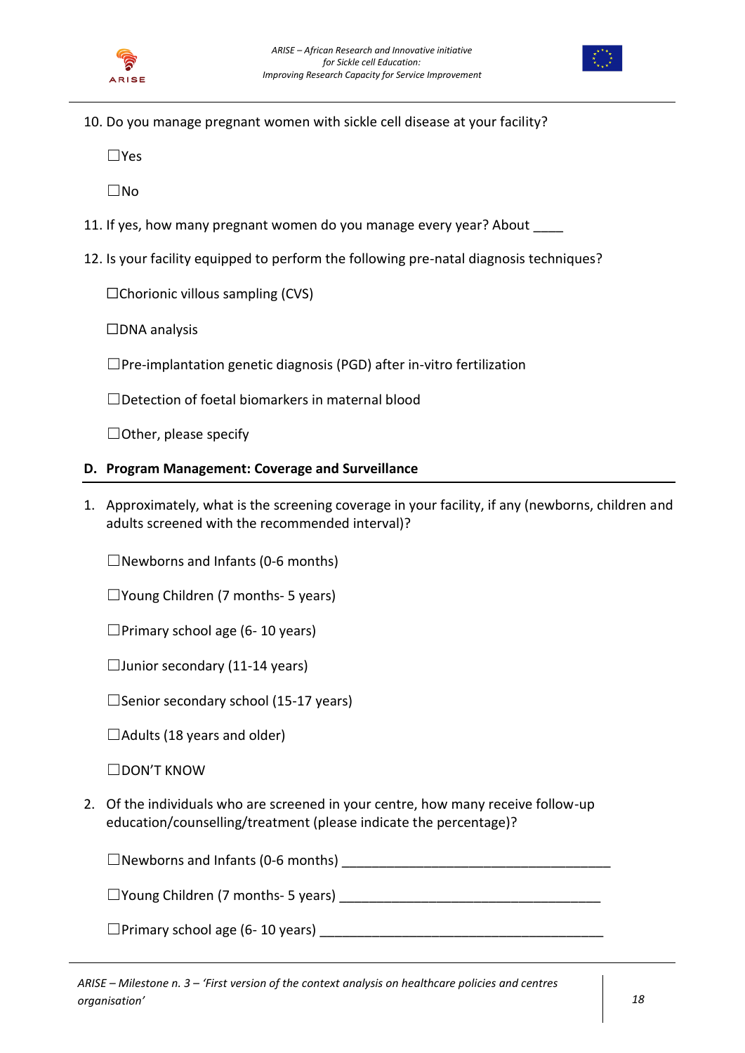



10. Do you manage pregnant women with sickle cell disease at your facility?

☐Yes

☐No

- 11. If yes, how many pregnant women do you manage every year? About
- 12. Is your facility equipped to perform the following pre-natal diagnosis techniques?

 $\Box$ Chorionic villous sampling (CVS)

☐DNA analysis

☐Pre-implantation genetic diagnosis (PGD) after in-vitro fertilization

☐Detection of foetal biomarkers in maternal blood

 $\Box$  Other, please specify

### **D. Program Management: Coverage and Surveillance**

1. Approximately, what is the screening coverage in your facility, if any (newborns, children and adults screened with the recommended interval)?

 $\Box$ Newborns and Infants (0-6 months)

 $\square$ Young Children (7 months- 5 years)

 $\Box$ Primary school age (6-10 years)

 $\Box$ Junior secondary (11-14 years)

 $\square$ Senior secondary school (15-17 years)

 $\Box$ Adults (18 years and older)

☐DON'T KNOW

2. Of the individuals who are screened in your centre, how many receive follow-up education/counselling/treatment (please indicate the percentage)?

☐Newborns and Infants (0-6 months) \_\_\_\_\_\_\_\_\_\_\_\_\_\_\_\_\_\_\_\_\_\_\_\_\_\_\_\_\_\_\_\_\_\_\_\_

 $\Box$  Young Children (7 months- 5 years)

 $\Box$ Primary school age (6-10 years)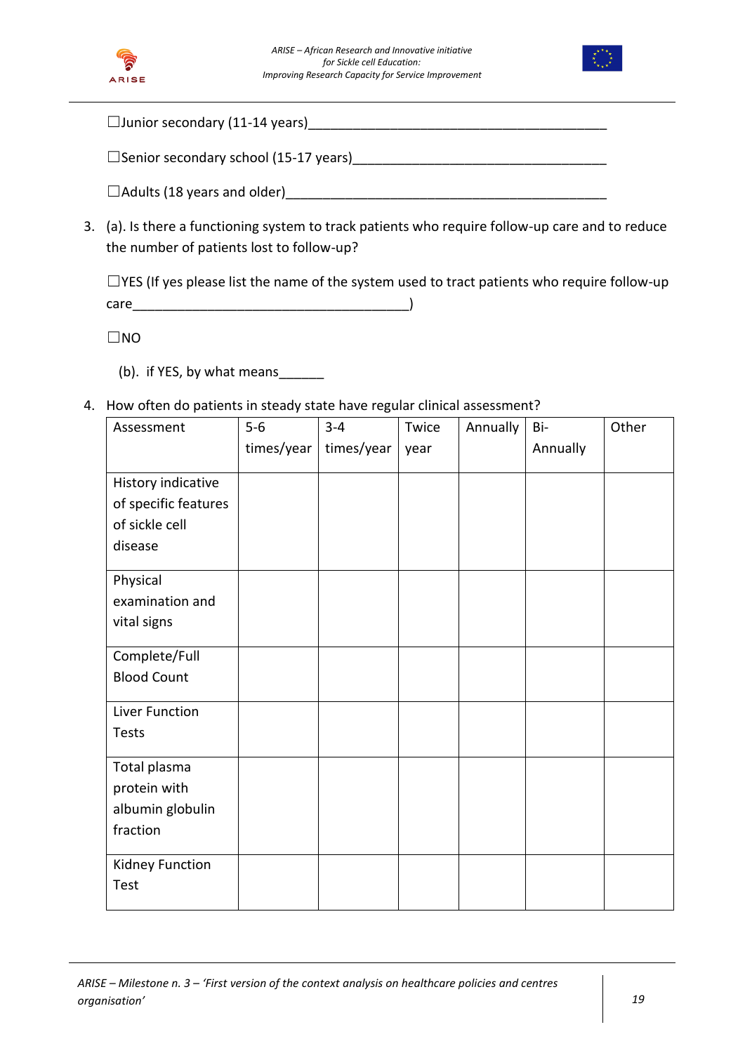



| $\Box$ Junior secondary (11-14 years)           |  |
|-------------------------------------------------|--|
|                                                 |  |
| $\square$ Senior secondary school (15-17 years) |  |

 $\Box$  Adults (18 years and older)

3. (a). Is there a functioning system to track patients who require follow-up care and to reduce the number of patients lost to follow-up?

☐YES (If yes please list the name of the system used to tract patients who require follow-up care the contract of the contract of the contract of the contract of the contract of  $\lambda$ 

☐NO

- (b). if YES, by what means\_\_\_\_\_\_
- 4. How often do patients in steady state have regular clinical assessment?

| Assessment           | $5-6$      | $3 - 4$    | Twice | Annually | Bi-      | Other |
|----------------------|------------|------------|-------|----------|----------|-------|
|                      | times/year | times/year | year  |          | Annually |       |
| History indicative   |            |            |       |          |          |       |
| of specific features |            |            |       |          |          |       |
| of sickle cell       |            |            |       |          |          |       |
| disease              |            |            |       |          |          |       |
|                      |            |            |       |          |          |       |
| Physical             |            |            |       |          |          |       |
| examination and      |            |            |       |          |          |       |
| vital signs          |            |            |       |          |          |       |
| Complete/Full        |            |            |       |          |          |       |
| <b>Blood Count</b>   |            |            |       |          |          |       |
|                      |            |            |       |          |          |       |
| Liver Function       |            |            |       |          |          |       |
| Tests                |            |            |       |          |          |       |
|                      |            |            |       |          |          |       |
| Total plasma         |            |            |       |          |          |       |
| protein with         |            |            |       |          |          |       |
| albumin globulin     |            |            |       |          |          |       |
| fraction             |            |            |       |          |          |       |
| Kidney Function      |            |            |       |          |          |       |
| Test                 |            |            |       |          |          |       |
|                      |            |            |       |          |          |       |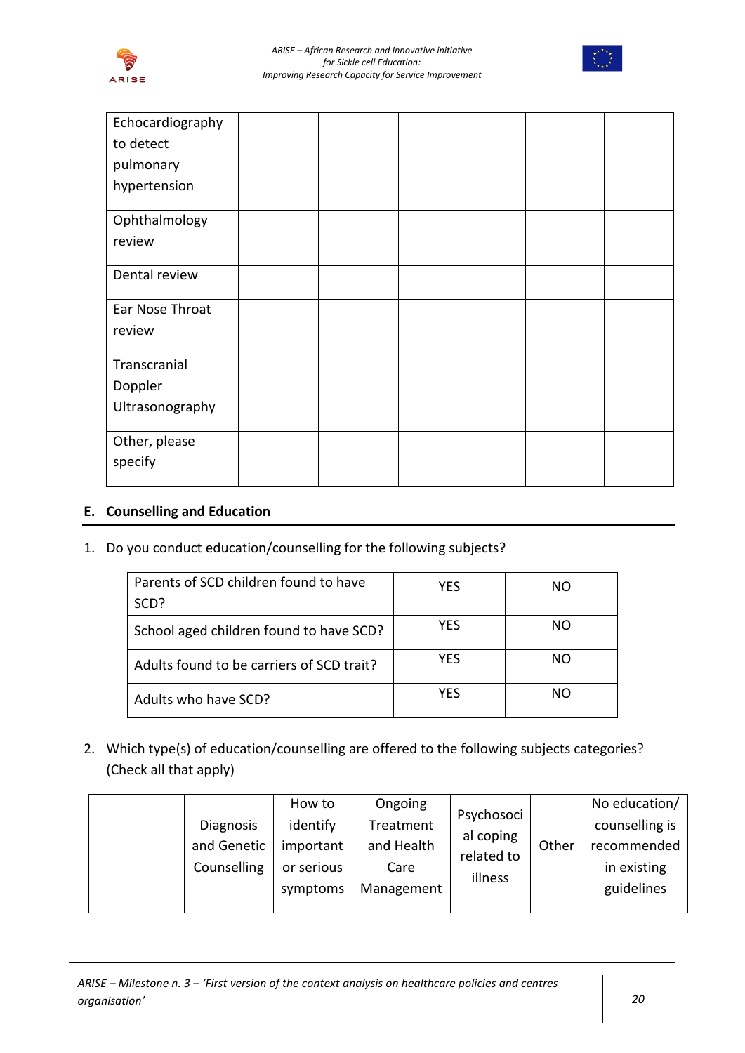



| Echocardiography |  |  |  |
|------------------|--|--|--|
| to detect        |  |  |  |
| pulmonary        |  |  |  |
| hypertension     |  |  |  |
| Ophthalmology    |  |  |  |
| review           |  |  |  |
| Dental review    |  |  |  |
| Ear Nose Throat  |  |  |  |
| review           |  |  |  |
| Transcranial     |  |  |  |
| Doppler          |  |  |  |
| Ultrasonography  |  |  |  |
| Other, please    |  |  |  |
| specify          |  |  |  |
|                  |  |  |  |

## **E. Counselling and Education**

1. Do you conduct education/counselling for the following subjects?

| Parents of SCD children found to have<br>SCD? | <b>YES</b> | NΟ |
|-----------------------------------------------|------------|----|
| School aged children found to have SCD?       | YES        | NΟ |
| Adults found to be carriers of SCD trait?     | <b>YES</b> | NΟ |
| Adults who have SCD?                          | YFS        | NΟ |

2. Which type(s) of education/counselling are offered to the following subjects categories? (Check all that apply)

|             | How to     | Ongoing    | Psychosoci |       | No education/  |
|-------------|------------|------------|------------|-------|----------------|
| Diagnosis   | identify   | Treatment  | al coping  |       | counselling is |
| and Genetic | important  | and Health | related to | Other | recommended    |
| Counselling | or serious | Care       |            |       | in existing    |
|             | symptoms   | Management | illness    |       | guidelines     |
|             |            |            |            |       |                |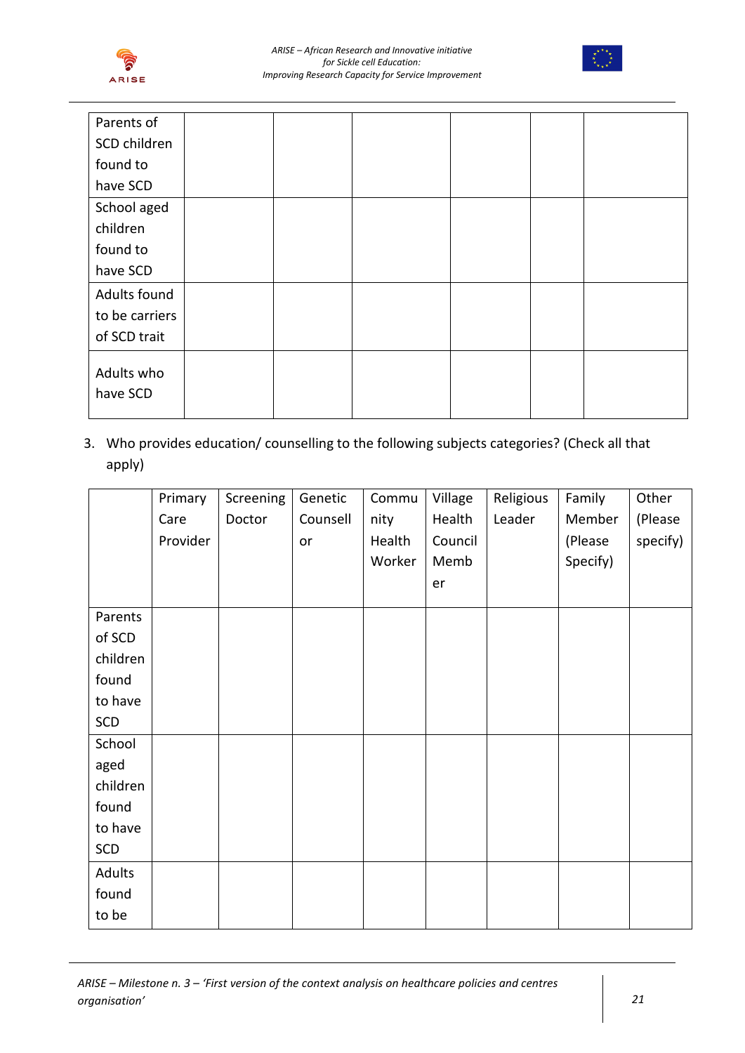



| Parents of             |  |  |  |
|------------------------|--|--|--|
| SCD children           |  |  |  |
| found to               |  |  |  |
| have SCD               |  |  |  |
| School aged            |  |  |  |
| children               |  |  |  |
| found to               |  |  |  |
| have SCD               |  |  |  |
| Adults found           |  |  |  |
| to be carriers         |  |  |  |
| of SCD trait           |  |  |  |
| Adults who<br>have SCD |  |  |  |

3. Who provides education/ counselling to the following subjects categories? (Check all that apply)

|          | Primary  | Screening | Genetic  | Commu  | Village | Religious | Family   | Other    |
|----------|----------|-----------|----------|--------|---------|-----------|----------|----------|
|          | Care     | Doctor    | Counsell | nity   | Health  | Leader    | Member   | (Please  |
|          | Provider |           | or       | Health | Council |           | (Please  | specify) |
|          |          |           |          | Worker | Memb    |           | Specify) |          |
|          |          |           |          |        | er      |           |          |          |
| Parents  |          |           |          |        |         |           |          |          |
| of SCD   |          |           |          |        |         |           |          |          |
| children |          |           |          |        |         |           |          |          |
| found    |          |           |          |        |         |           |          |          |
| to have  |          |           |          |        |         |           |          |          |
| SCD      |          |           |          |        |         |           |          |          |
| School   |          |           |          |        |         |           |          |          |
| aged     |          |           |          |        |         |           |          |          |
| children |          |           |          |        |         |           |          |          |
| found    |          |           |          |        |         |           |          |          |
| to have  |          |           |          |        |         |           |          |          |
| SCD      |          |           |          |        |         |           |          |          |
| Adults   |          |           |          |        |         |           |          |          |
| found    |          |           |          |        |         |           |          |          |
| to be    |          |           |          |        |         |           |          |          |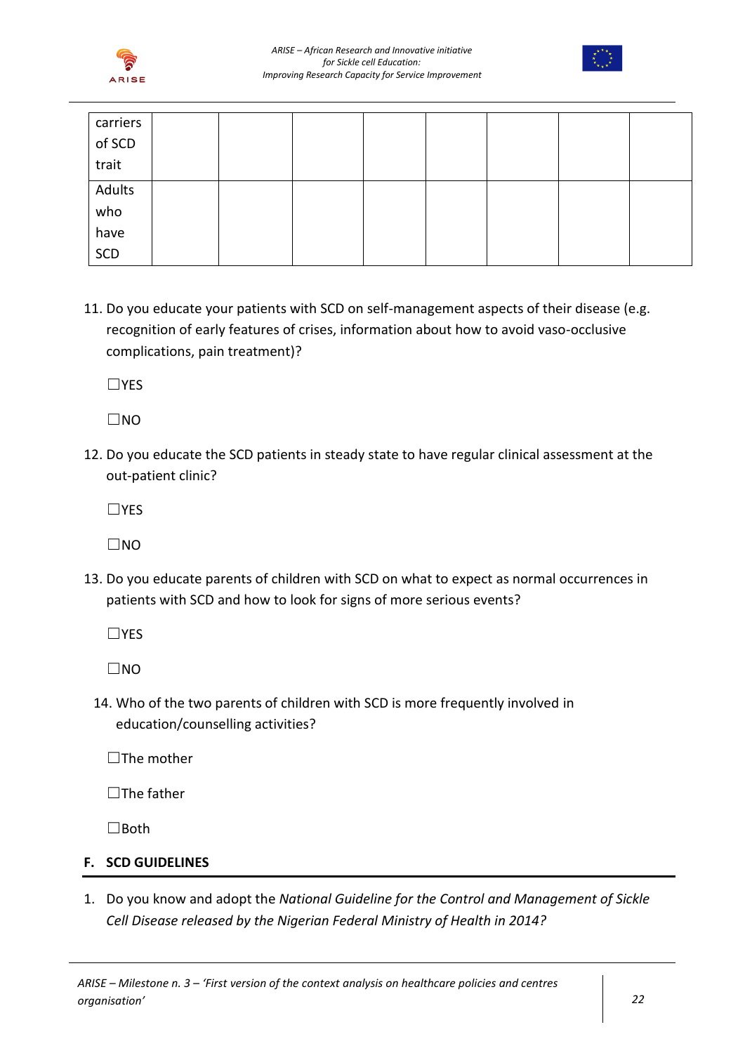



| carriers |  |  |  |  |
|----------|--|--|--|--|
| of SCD   |  |  |  |  |
| trait    |  |  |  |  |
| Adults   |  |  |  |  |
| who      |  |  |  |  |
| have     |  |  |  |  |
| SCD      |  |  |  |  |

11. Do you educate your patients with SCD on self-management aspects of their disease (e.g. recognition of early features of crises, information about how to avoid vaso-occlusive complications, pain treatment)?

☐YES

 $\Box$ NO

12. Do you educate the SCD patients in steady state to have regular clinical assessment at the out-patient clinic?

☐YES

 $\Box$ NO

13. Do you educate parents of children with SCD on what to expect as normal occurrences in patients with SCD and how to look for signs of more serious events?

☐YES

 $\square$ NO

14. Who of the two parents of children with SCD is more frequently involved in education/counselling activities?

 $\square$ The mother

 $\Box$ The father

☐Both

### **F. SCD GUIDELINES**

1. Do you know and adopt the *National Guideline for the Control and Management of Sickle Cell Disease released by the Nigerian Federal Ministry of Health in 2014?*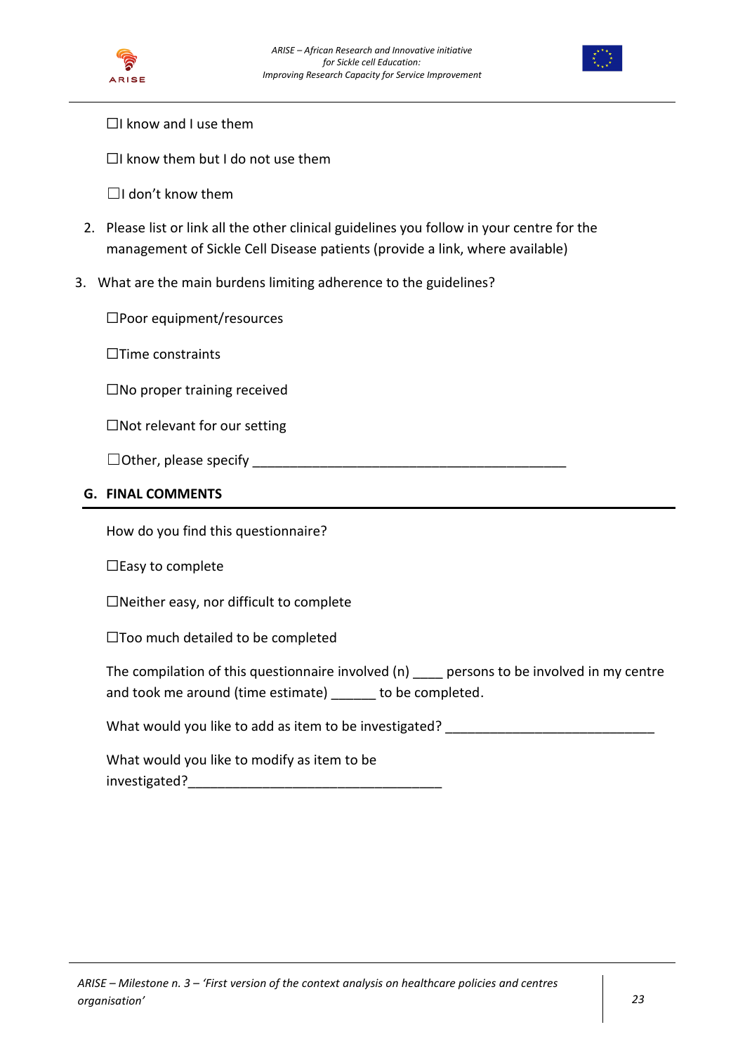



 $\Box$ I know and I use them

 $\Box$ I know them but I do not use them

 $\Box$ I don't know them

- 2. Please list or link all the other clinical guidelines you follow in your centre for the management of Sickle Cell Disease patients (provide a link, where available)
- 3. What are the main burdens limiting adherence to the guidelines?

☐Poor equipment/resources

☐Time constraints

☐No proper training received

☐Not relevant for our setting

☐Other, please specify \_\_\_\_\_\_\_\_\_\_\_\_\_\_\_\_\_\_\_\_\_\_\_\_\_\_\_\_\_\_\_\_\_\_\_\_\_\_\_\_\_\_

### **G. FINAL COMMENTS**

How do you find this questionnaire?

☐Easy to complete

☐Neither easy, nor difficult to complete

☐Too much detailed to be completed

The compilation of this questionnaire involved (n) persons to be involved in my centre and took me around (time estimate) to be completed.

What would you like to add as item to be investigated? \_\_\_\_\_\_\_\_\_\_\_\_\_\_\_\_\_\_\_\_\_\_\_\_\_

What would you like to modify as item to be investigated?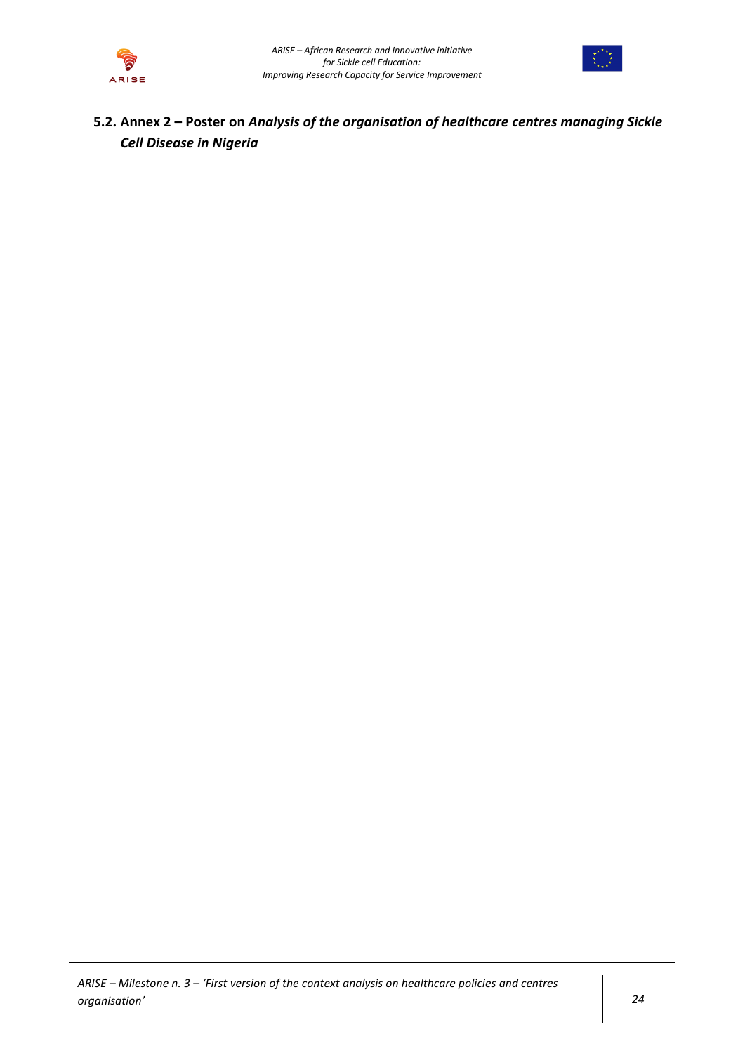



**5.2. Annex 2 – Poster on** *Analysis of the organisation of healthcare centres managing Sickle Cell Disease in Nigeria*